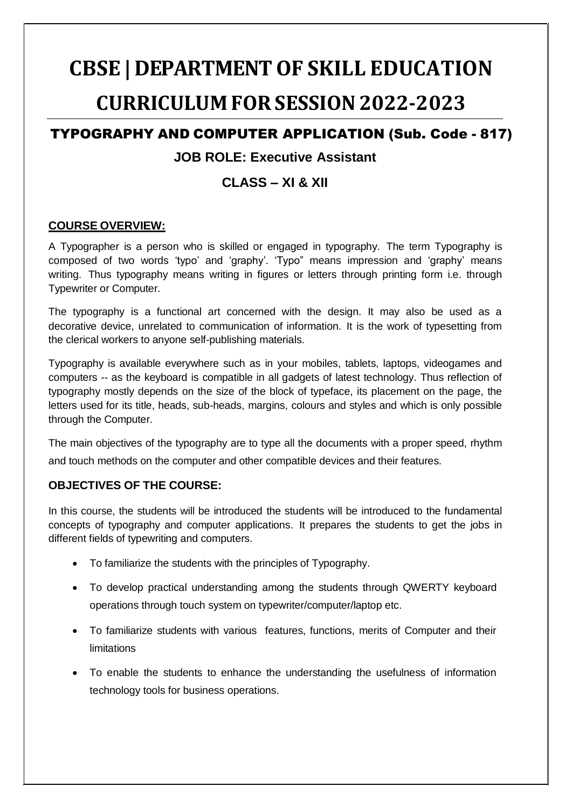# **CBSE | DEPARTMENTOF SKILL EDUCATION CURRICULUM FOR SESSION2022-2023**

## TYPOGRAPHY AND COMPUTER APPLICATION (Sub. Code - 817)

### **JOB ROLE: Executive Assistant**

# **CLASS – XI & XII**

#### **COURSE OVERVIEW:**

A Typographer is a person who is skilled or engaged in typography. The term Typography is composed of two words 'typo' and 'graphy'. 'Typo" means impression and 'graphy' means writing. Thus typography means writing in figures or letters through printing form i.e. through Typewriter or Computer.

The typography is a functional art concerned with the design. It may also be used as a decorative device, unrelated to communication of information. It is the work of typesetting from the clerical workers to anyone self-publishing materials.

Typography is available everywhere such as in your mobiles, tablets, laptops, videogames and computers -- as the keyboard is compatible in all gadgets of latest technology. Thus reflection of typography mostly depends on the size of the block of typeface, its placement on the page, the letters used for its title, heads, sub-heads, margins, colours and styles and which is only possible through the Computer.

The main objectives of the typography are to type all the documents with a proper speed, rhythm and touch methods on the computer and other compatible devices and their features.

#### **OBJECTIVES OF THE COURSE:**

In this course, the students will be introduced the students will be introduced to the fundamental concepts of typography and computer applications. It prepares the students to get the jobs in different fields of typewriting and computers.

- To familiarize the students with the principles of Typography.
- To develop practical understanding among the students through QWERTY keyboard operations through touch system on typewriter/computer/laptop etc.
- To familiarize students with various features, functions, merits of Computer and their limitations
- To enable the students to enhance the understanding the usefulness of information technology tools for business operations.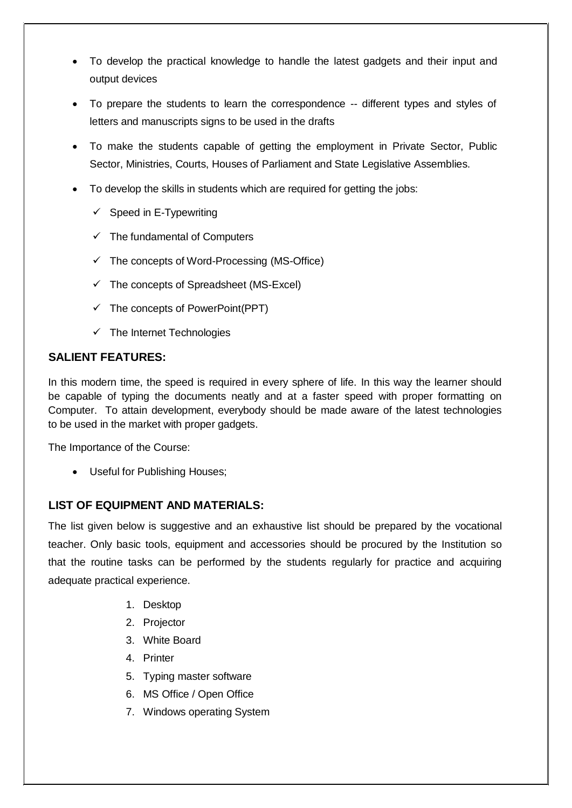- To develop the practical knowledge to handle the latest gadgets and their input and output devices
- To prepare the students to learn the correspondence -- different types and styles of letters and manuscripts signs to be used in the drafts
- To make the students capable of getting the employment in Private Sector, Public Sector, Ministries, Courts, Houses of Parliament and State Legislative Assemblies.
- To develop the skills in students which are required for getting the jobs:
	- $\checkmark$  Speed in E-Typewriting
	- $\checkmark$  The fundamental of Computers
	- $\checkmark$  The concepts of Word-Processing (MS-Office)
	- $\checkmark$  The concepts of Spreadsheet (MS-Excel)
	- $\checkmark$  The concepts of PowerPoint(PPT)
	- $\checkmark$  The Internet Technologies

#### **SALIENT FEATURES:**

In this modern time, the speed is required in every sphere of life. In this way the learner should be capable of typing the documents neatly and at a faster speed with proper formatting on Computer. To attain development, everybody should be made aware of the latest technologies to be used in the market with proper gadgets.

The Importance of the Course:

Useful for Publishing Houses;

#### **LIST OF EQUIPMENT AND MATERIALS:**

The list given below is suggestive and an exhaustive list should be prepared by the vocational teacher. Only basic tools, equipment and accessories should be procured by the Institution so that the routine tasks can be performed by the students regularly for practice and acquiring adequate practical experience.

- 1. Desktop
- 2. Projector
- 3. White Board
- 4. Printer
- 5. Typing master software
- 6. MS Office / Open Office
- 7. Windows operating System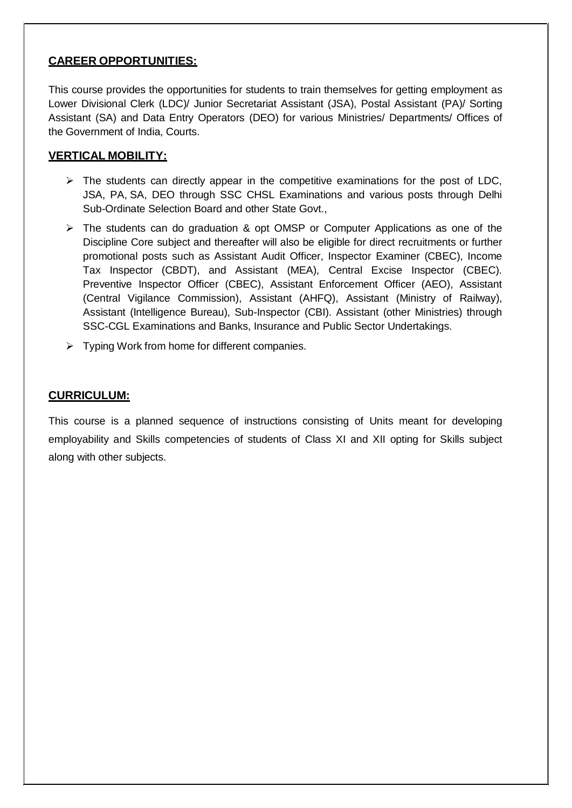#### **CAREER OPPORTUNITIES:**

This course provides the opportunities for students to train themselves for getting employment as Lower Divisional Clerk (LDC)/ Junior Secretariat Assistant (JSA), Postal Assistant (PA)/ Sorting Assistant (SA) and Data Entry Operators (DEO) for various Ministries/ Departments/ Offices of the Government of India, Courts.

#### **VERTICAL MOBILITY:**

- $\triangleright$  The students can directly appear in the competitive examinations for the post of LDC, JSA, PA, SA, DEO through SSC CHSL Examinations and various posts through Delhi Sub-Ordinate Selection Board and other State Govt.,
- $\triangleright$  The students can do graduation & opt OMSP or Computer Applications as one of the Discipline Core subject and thereafter will also be eligible for direct recruitments or further promotional posts such as Assistant Audit Officer, Inspector Examiner (CBEC), Income Tax Inspector (CBDT), and Assistant (MEA), Central Excise Inspector (CBEC). Preventive Inspector Officer (CBEC), Assistant Enforcement Officer (AEO), Assistant (Central Vigilance Commission), Assistant (AHFQ), Assistant (Ministry of Railway), Assistant (Intelligence Bureau), Sub-Inspector (CBI). Assistant (other Ministries) through SSC-CGL Examinations and Banks, Insurance and Public Sector Undertakings.
- $\triangleright$  Typing Work from home for different companies.

#### **CURRICULUM:**

This course is a planned sequence of instructions consisting of Units meant for developing employability and Skills competencies of students of Class XI and XII opting for Skills subject along with other subjects.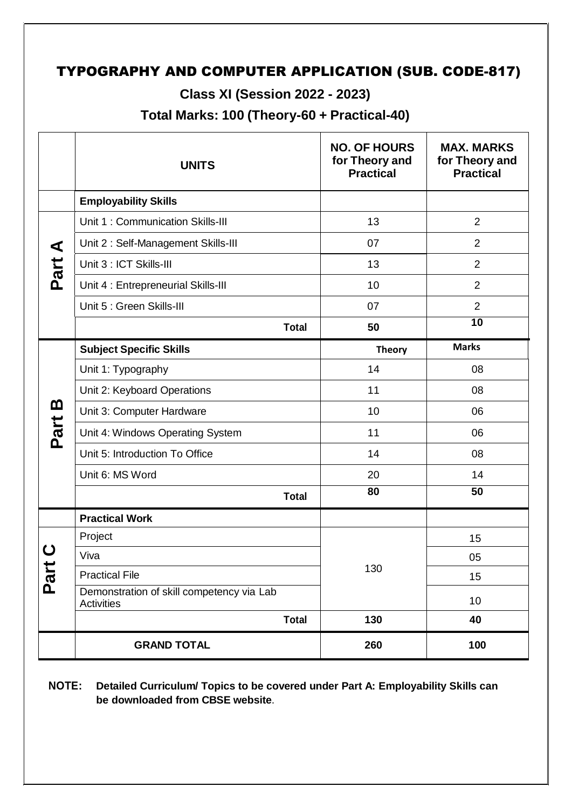# TYPOGRAPHY AND COMPUTER APPLICATION (SUB. CODE-817)

**Class XI (Session 2022 - 2023)**

**Total Marks: 100 (Theory-60 + Practical-40)**

|                  | <b>UNITS</b>                                                   | <b>NO. OF HOURS</b><br>for Theory and<br><b>Practical</b> | <b>MAX. MARKS</b><br>for Theory and<br><b>Practical</b> |
|------------------|----------------------------------------------------------------|-----------------------------------------------------------|---------------------------------------------------------|
|                  | <b>Employability Skills</b>                                    |                                                           |                                                         |
| ⋖                | Unit 1: Communication Skills-III                               | 13                                                        | $\overline{2}$                                          |
|                  | Unit 2: Self-Management Skills-III                             | 07                                                        | $\overline{2}$                                          |
| Part             | Unit 3 : ICT Skills-III                                        | 13                                                        | $\overline{2}$                                          |
|                  | Unit 4 : Entrepreneurial Skills-III                            | 10                                                        | $\overline{2}$                                          |
|                  | Unit 5 : Green Skills-III                                      | 07                                                        | $\overline{2}$                                          |
|                  | <b>Total</b>                                                   | 50                                                        | 10                                                      |
| <u>ന</u><br>Part | <b>Subject Specific Skills</b>                                 | <b>Theory</b>                                             | <b>Marks</b>                                            |
|                  | Unit 1: Typography                                             | 14                                                        | 08                                                      |
|                  | Unit 2: Keyboard Operations                                    | 11                                                        | 08                                                      |
|                  | Unit 3: Computer Hardware                                      | 10                                                        | 06                                                      |
|                  | Unit 4: Windows Operating System                               | 11                                                        | 06                                                      |
|                  | Unit 5: Introduction To Office                                 | 14                                                        | 08                                                      |
|                  | Unit 6: MS Word                                                | 20                                                        | 14                                                      |
|                  | <b>Total</b>                                                   | 80                                                        | 50                                                      |
|                  | <b>Practical Work</b>                                          |                                                           |                                                         |
| Part             | Project                                                        |                                                           | 15                                                      |
|                  | Viva                                                           |                                                           | 05                                                      |
|                  | <b>Practical File</b>                                          | 130                                                       | 15                                                      |
|                  | Demonstration of skill competency via Lab<br><b>Activities</b> |                                                           | 10                                                      |
|                  | <b>Total</b>                                                   | 130                                                       | 40                                                      |
|                  | <b>GRAND TOTAL</b>                                             | 260                                                       | 100                                                     |

**NOTE: Detailed Curriculum/ Topics to be covered under Part A: Employability Skills can be downloaded from CBSE website**.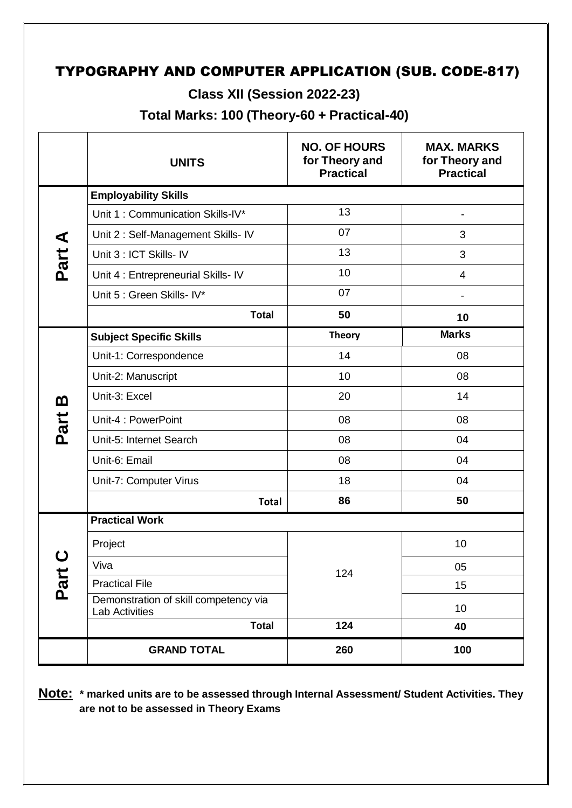# TYPOGRAPHY AND COMPUTER APPLICATION (SUB. CODE-817)

**Class XII (Session 2022-23)**

**Total Marks: 100 (Theory-60 + Practical-40)**

|          | <b>UNITS</b>                                                   | <b>NO. OF HOURS</b><br>for Theory and<br><b>Practical</b> | <b>MAX. MARKS</b><br>for Theory and<br><b>Practical</b> |  |
|----------|----------------------------------------------------------------|-----------------------------------------------------------|---------------------------------------------------------|--|
|          | <b>Employability Skills</b>                                    |                                                           |                                                         |  |
|          | Unit 1: Communication Skills-IV*                               | 13                                                        | $\overline{\phantom{a}}$                                |  |
| ⋖        | Unit 2: Self-Management Skills- IV                             | 07                                                        | 3                                                       |  |
| Part     | Unit 3 : ICT Skills- IV                                        | 13                                                        | 3                                                       |  |
|          | Unit 4 : Entrepreneurial Skills- IV                            | 10                                                        | 4                                                       |  |
|          | Unit 5 : Green Skills- IV*                                     | 07                                                        | $\qquad \qquad \blacksquare$                            |  |
|          | <b>Total</b>                                                   | 50                                                        | 10                                                      |  |
|          | <b>Subject Specific Skills</b>                                 | <b>Theory</b>                                             | <b>Marks</b>                                            |  |
|          | Unit-1: Correspondence                                         | 14                                                        | 08                                                      |  |
|          | Unit-2: Manuscript                                             | 10                                                        | 08                                                      |  |
| <u>ጠ</u> | Unit-3: Excel                                                  | 20                                                        | 14                                                      |  |
| Part     | Unit-4 : PowerPoint                                            | 08                                                        | 08                                                      |  |
|          | Unit-5: Internet Search                                        | 08                                                        | 04                                                      |  |
|          | Unit-6: Email                                                  | 08                                                        | 04                                                      |  |
|          | Unit-7: Computer Virus                                         | 18                                                        | 04                                                      |  |
|          | <b>Total</b>                                                   | 86                                                        | 50                                                      |  |
|          | <b>Practical Work</b>                                          |                                                           |                                                         |  |
|          | Project                                                        | 124                                                       | 10                                                      |  |
|          | Viva                                                           |                                                           | 05                                                      |  |
| Part     | <b>Practical File</b>                                          |                                                           | 15                                                      |  |
|          | Demonstration of skill competency via<br><b>Lab Activities</b> |                                                           | 10                                                      |  |
|          | <b>Total</b>                                                   | 124                                                       | 40                                                      |  |
|          | <b>GRAND TOTAL</b>                                             | 260                                                       | 100                                                     |  |

**Note: \* marked units are to be assessed through Internal Assessment/ Student Activities. They are not to be assessed in Theory Exams**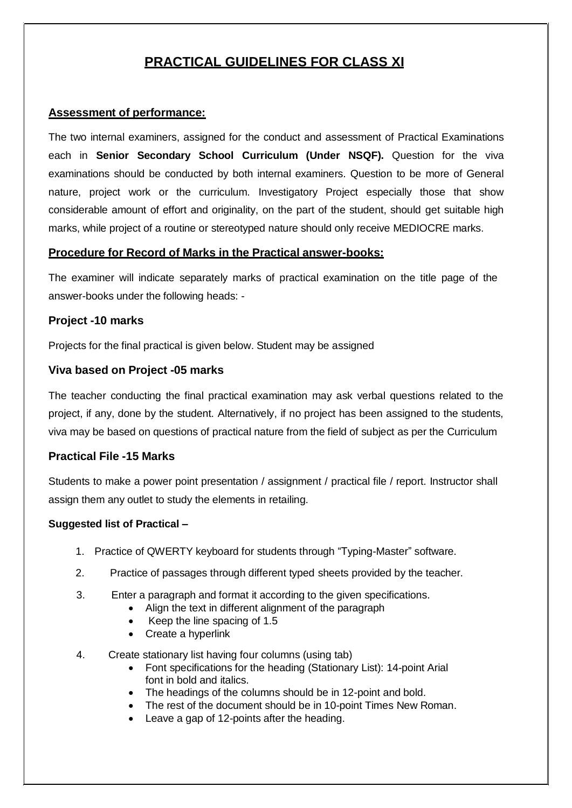## **PRACTICAL GUIDELINES FOR CLASS XI**

#### **Assessment of performance:**

The two internal examiners, assigned for the conduct and assessment of Practical Examinations each in **Senior Secondary School Curriculum (Under NSQF).** Question for the viva examinations should be conducted by both internal examiners. Question to be more of General nature, project work or the curriculum. Investigatory Project especially those that show considerable amount of effort and originality, on the part of the student, should get suitable high marks, while project of a routine or stereotyped nature should only receive MEDIOCRE marks.

#### **Procedure for Record of Marks in the Practical answer-books:**

The examiner will indicate separately marks of practical examination on the title page of the answer-books under the following heads: -

#### **Project -10 marks**

Projects for the final practical is given below. Student may be assigned

#### **Viva based on Project -05 marks**

The teacher conducting the final practical examination may ask verbal questions related to the project, if any, done by the student. Alternatively, if no project has been assigned to the students, viva may be based on questions of practical nature from the field of subject as per the Curriculum

#### **Practical File -15 Marks**

Students to make a power point presentation / assignment / practical file / report. Instructor shall assign them any outlet to study the elements in retailing.

#### **Suggested list of Practical –**

- 1. Practice of QWERTY keyboard for students through "Typing-Master" software.
- 2. Practice of passages through different typed sheets provided by the teacher.
- 3. Enter a paragraph and format it according to the given specifications.
	- Align the text in different alignment of the paragraph
	- Keep the line spacing of 1.5
	- Create a hyperlink
- 4. Create stationary list having four columns (using tab)
	- Font specifications for the heading (Stationary List): 14-point Arial font in bold and italics.
	- The headings of the columns should be in 12-point and bold.
	- The rest of the document should be in 10-point Times New Roman.
	- Leave a gap of 12-points after the heading.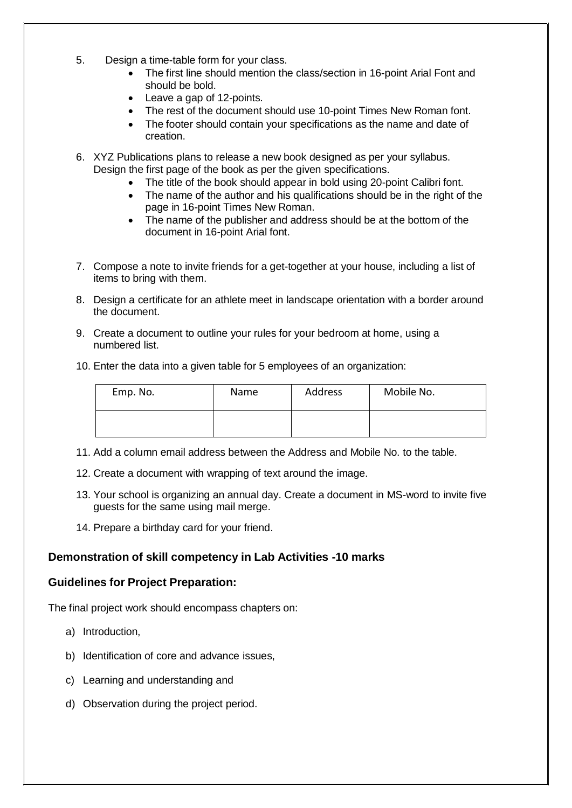- 5. Design a time-table form for your class.
	- The first line should mention the class/section in 16-point Arial Font and should be bold.
	- Leave a gap of 12-points.
	- The rest of the document should use 10-point Times New Roman font.
	- The footer should contain your specifications as the name and date of creation.

6. XYZ Publications plans to release a new book designed as per your syllabus. Design the first page of the book as per the given specifications.

- The title of the book should appear in bold using 20-point Calibri font.
- The name of the author and his qualifications should be in the right of the page in 16-point Times New Roman.
- The name of the publisher and address should be at the bottom of the document in 16-point Arial font.
- 7. Compose a note to invite friends for a get-together at your house, including a list of items to bring with them.
- 8. Design a certificate for an athlete meet in landscape orientation with a border around the document.
- 9. Create a document to outline your rules for your bedroom at home, using a numbered list.
- 10. Enter the data into a given table for 5 employees of an organization:

| Emp. No. | Name | Address | Mobile No. |
|----------|------|---------|------------|
|          |      |         |            |

- 11. Add a column email address between the Address and Mobile No. to the table.
- 12. Create a document with wrapping of text around the image.
- 13. Your school is organizing an annual day. Create a document in MS-word to invite five guests for the same using mail merge.
- 14. Prepare a birthday card for your friend.

#### **Demonstration of skill competency in Lab Activities -10 marks**

#### **Guidelines for Project Preparation:**

The final project work should encompass chapters on:

- a) Introduction,
- b) Identification of core and advance issues,
- c) Learning and understanding and
- d) Observation during the project period.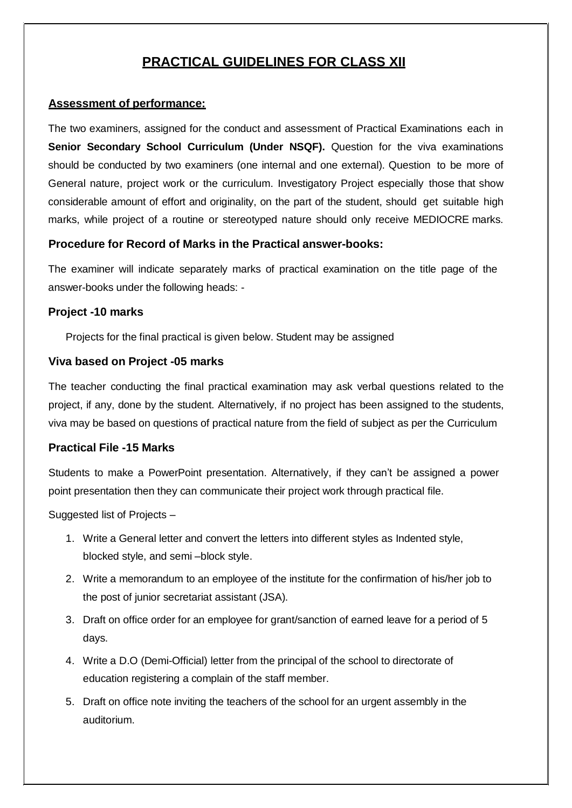## **PRACTICAL GUIDELINES FOR CLASS XII**

#### **Assessment of performance:**

The two examiners, assigned for the conduct and assessment of Practical Examinations each in **Senior Secondary School Curriculum (Under NSQF).** Question for the viva examinations should be conducted by two examiners (one internal and one external). Question to be more of General nature, project work or the curriculum. Investigatory Project especially those that show considerable amount of effort and originality, on the part of the student, should get suitable high marks, while project of a routine or stereotyped nature should only receive MEDIOCRE marks.

#### **Procedure for Record of Marks in the Practical answer-books:**

The examiner will indicate separately marks of practical examination on the title page of the answer-books under the following heads: -

#### **Project -10 marks**

Projects for the final practical is given below. Student may be assigned

#### **Viva based on Project -05 marks**

The teacher conducting the final practical examination may ask verbal questions related to the project, if any, done by the student. Alternatively, if no project has been assigned to the students, viva may be based on questions of practical nature from the field of subject as per the Curriculum

#### **Practical File -15 Marks**

Students to make a PowerPoint presentation. Alternatively, if they can't be assigned a power point presentation then they can communicate their project work through practical file.

Suggested list of Projects –

- 1. Write a General letter and convert the letters into different styles as Indented style, blocked style, and semi –block style.
- 2. Write a memorandum to an employee of the institute for the confirmation of his/her job to the post of junior secretariat assistant (JSA).
- 3. Draft on office order for an employee for grant/sanction of earned leave for a period of 5 days.
- 4. Write a D.O (Demi-Official) letter from the principal of the school to directorate of education registering a complain of the staff member.
- 5. Draft on office note inviting the teachers of the school for an urgent assembly in the auditorium.